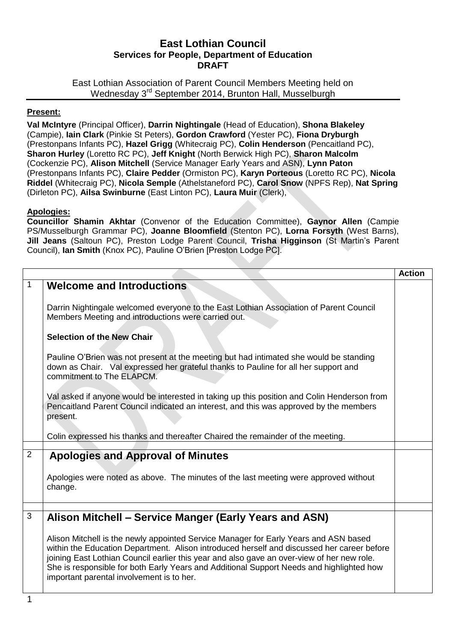### **East Lothian Council Services for People, Department of Education DRAFT**

East Lothian Association of Parent Council Members Meeting held on Wednesday 3rd September 2014, Brunton Hall, Musselburgh

#### **Present:**

**Val McIntyre** (Principal Officer), **Darrin Nightingale** (Head of Education), **Shona Blakeley** (Campie), **Iain Clark** (Pinkie St Peters), **Gordon Crawford** (Yester PC), **Fiona Dryburgh** (Prestonpans Infants PC), **Hazel Grigg** (Whitecraig PC), **Colin Henderson** (Pencaitland PC), **Sharon Hurley** (Loretto RC PC), **Jeff Knight** (North Berwick High PC), **Sharon Malcolm**  (Cockenzie PC), **Alison Mitchell** (Service Manager Early Years and ASN), **Lynn Paton**  (Prestonpans Infants PC), **Claire Pedder** (Ormiston PC), **Karyn Porteous** (Loretto RC PC), **Nicola Riddel** (Whitecraig PC), **Nicola Semple** (Athelstaneford PC), **Carol Snow** (NPFS Rep), **Nat Spring**  (Dirleton PC), **Ailsa Swinburne** (East Linton PC), **Laura Muir** (Clerk),

### **Apologies:**

**Councillor Shamin Akhtar** (Convenor of the Education Committee), **Gaynor Allen** (Campie PS/Musselburgh Grammar PC), **Joanne Bloomfield** (Stenton PC), **Lorna Forsyth** (West Barns), **Jill Jeans** (Saltoun PC), Preston Lodge Parent Council, **Trisha Higginson** (St Martin's Parent Council), **Ian Smith** (Knox PC), Pauline O'Brien [Preston Lodge PC].

|                |                                                                                                                                                                                                                                                                                                                                                                                                                           | <b>Action</b> |
|----------------|---------------------------------------------------------------------------------------------------------------------------------------------------------------------------------------------------------------------------------------------------------------------------------------------------------------------------------------------------------------------------------------------------------------------------|---------------|
| 1              | <b>Welcome and Introductions</b>                                                                                                                                                                                                                                                                                                                                                                                          |               |
|                | Darrin Nightingale welcomed everyone to the East Lothian Association of Parent Council<br>Members Meeting and introductions were carried out.                                                                                                                                                                                                                                                                             |               |
|                | <b>Selection of the New Chair</b>                                                                                                                                                                                                                                                                                                                                                                                         |               |
|                | Pauline O'Brien was not present at the meeting but had intimated she would be standing<br>down as Chair. Val expressed her grateful thanks to Pauline for all her support and<br>commitment to The ELAPCM.                                                                                                                                                                                                                |               |
|                | Val asked if anyone would be interested in taking up this position and Colin Henderson from<br>Pencaitland Parent Council indicated an interest, and this was approved by the members<br>present.                                                                                                                                                                                                                         |               |
|                | Colin expressed his thanks and thereafter Chaired the remainder of the meeting.                                                                                                                                                                                                                                                                                                                                           |               |
|                |                                                                                                                                                                                                                                                                                                                                                                                                                           |               |
| $\overline{2}$ | <b>Apologies and Approval of Minutes</b>                                                                                                                                                                                                                                                                                                                                                                                  |               |
|                | Apologies were noted as above. The minutes of the last meeting were approved without<br>change.                                                                                                                                                                                                                                                                                                                           |               |
|                |                                                                                                                                                                                                                                                                                                                                                                                                                           |               |
| 3              | Alison Mitchell – Service Manger (Early Years and ASN)                                                                                                                                                                                                                                                                                                                                                                    |               |
|                | Alison Mitchell is the newly appointed Service Manager for Early Years and ASN based<br>within the Education Department. Alison introduced herself and discussed her career before<br>joining East Lothian Council earlier this year and also gave an over-view of her new role.<br>She is responsible for both Early Years and Additional Support Needs and highlighted how<br>important parental involvement is to her. |               |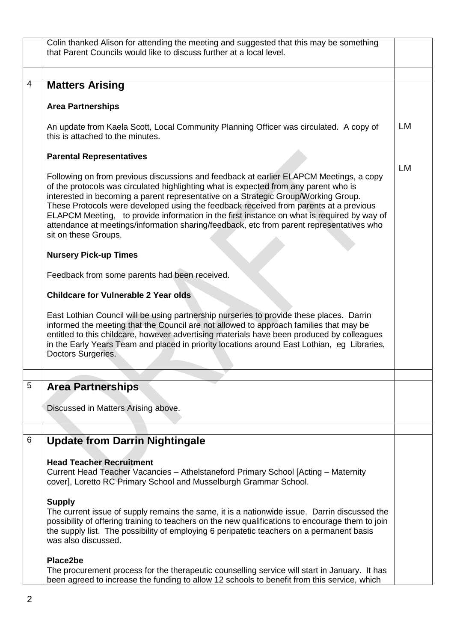|                | Colin thanked Alison for attending the meeting and suggested that this may be something                                                                                                                                                                                                                                                                                                                                                                                                                                                                                         |           |
|----------------|---------------------------------------------------------------------------------------------------------------------------------------------------------------------------------------------------------------------------------------------------------------------------------------------------------------------------------------------------------------------------------------------------------------------------------------------------------------------------------------------------------------------------------------------------------------------------------|-----------|
|                | that Parent Councils would like to discuss further at a local level.                                                                                                                                                                                                                                                                                                                                                                                                                                                                                                            |           |
|                |                                                                                                                                                                                                                                                                                                                                                                                                                                                                                                                                                                                 |           |
| $\overline{4}$ |                                                                                                                                                                                                                                                                                                                                                                                                                                                                                                                                                                                 |           |
|                | <b>Matters Arising</b>                                                                                                                                                                                                                                                                                                                                                                                                                                                                                                                                                          |           |
|                | <b>Area Partnerships</b>                                                                                                                                                                                                                                                                                                                                                                                                                                                                                                                                                        |           |
|                |                                                                                                                                                                                                                                                                                                                                                                                                                                                                                                                                                                                 |           |
|                | An update from Kaela Scott, Local Community Planning Officer was circulated. A copy of<br>this is attached to the minutes.                                                                                                                                                                                                                                                                                                                                                                                                                                                      | <b>LM</b> |
|                | <b>Parental Representatives</b>                                                                                                                                                                                                                                                                                                                                                                                                                                                                                                                                                 |           |
|                | Following on from previous discussions and feedback at earlier ELAPCM Meetings, a copy<br>of the protocols was circulated highlighting what is expected from any parent who is<br>interested in becoming a parent representative on a Strategic Group/Working Group.<br>These Protocols were developed using the feedback received from parents at a previous<br>ELAPCM Meeting, to provide information in the first instance on what is required by way of<br>attendance at meetings/information sharing/feedback, etc from parent representatives who<br>sit on these Groups. | <b>LM</b> |
|                | <b>Nursery Pick-up Times</b>                                                                                                                                                                                                                                                                                                                                                                                                                                                                                                                                                    |           |
|                | Feedback from some parents had been received.                                                                                                                                                                                                                                                                                                                                                                                                                                                                                                                                   |           |
|                | <b>Childcare for Vulnerable 2 Year olds</b>                                                                                                                                                                                                                                                                                                                                                                                                                                                                                                                                     |           |
|                | East Lothian Council will be using partnership nurseries to provide these places. Darrin<br>informed the meeting that the Council are not allowed to approach families that may be<br>entitled to this childcare, however advertising materials have been produced by colleagues<br>in the Early Years Team and placed in priority locations around East Lothian, eg Libraries,<br>Doctors Surgeries.                                                                                                                                                                           |           |
|                |                                                                                                                                                                                                                                                                                                                                                                                                                                                                                                                                                                                 |           |
| 5              | <b>Area Partnerships</b>                                                                                                                                                                                                                                                                                                                                                                                                                                                                                                                                                        |           |
|                |                                                                                                                                                                                                                                                                                                                                                                                                                                                                                                                                                                                 |           |
|                | Discussed in Matters Arising above.                                                                                                                                                                                                                                                                                                                                                                                                                                                                                                                                             |           |
|                |                                                                                                                                                                                                                                                                                                                                                                                                                                                                                                                                                                                 |           |
| 6              | <b>Update from Darrin Nightingale</b>                                                                                                                                                                                                                                                                                                                                                                                                                                                                                                                                           |           |
|                |                                                                                                                                                                                                                                                                                                                                                                                                                                                                                                                                                                                 |           |
|                | <b>Head Teacher Recruitment</b><br>Current Head Teacher Vacancies - Athelstaneford Primary School [Acting - Maternity<br>cover], Loretto RC Primary School and Musselburgh Grammar School.                                                                                                                                                                                                                                                                                                                                                                                      |           |
|                | <b>Supply</b><br>The current issue of supply remains the same, it is a nationwide issue. Darrin discussed the<br>possibility of offering training to teachers on the new qualifications to encourage them to join<br>the supply list. The possibility of employing 6 peripatetic teachers on a permanent basis<br>was also discussed.                                                                                                                                                                                                                                           |           |
|                | Place2be<br>The procurement process for the therapeutic counselling service will start in January. It has<br>been agreed to increase the funding to allow 12 schools to benefit from this service, which                                                                                                                                                                                                                                                                                                                                                                        |           |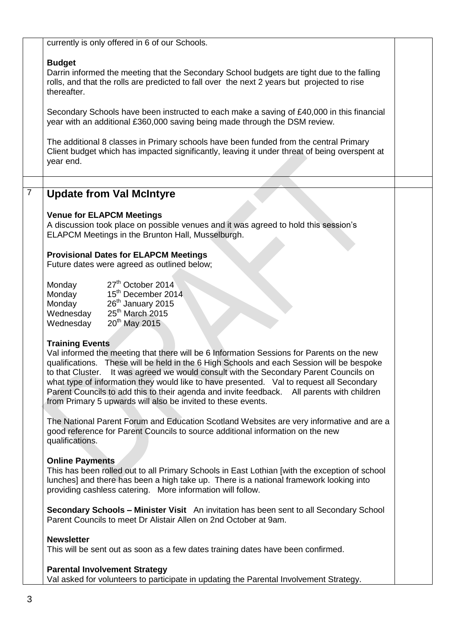currently is only offered in 6 of our Schools.

# **Budget**

Darrin informed the meeting that the Secondary School budgets are tight due to the falling rolls, and that the rolls are predicted to fall over the next 2 years but projected to rise thereafter.

Secondary Schools have been instructed to each make a saving of £40,000 in this financial year with an additional £360,000 saving being made through the DSM review.

The additional 8 classes in Primary schools have been funded from the central Primary Client budget which has impacted significantly, leaving it under threat of being overspent at year end.

# 7 **Update from Val McIntyre**

# **Venue for ELAPCM Meetings**

A discussion took place on possible venues and it was agreed to hold this session's ELAPCM Meetings in the Brunton Hall, Musselburgh.

# **Provisional Dates for ELAPCM Meetings**

Future dates were agreed as outlined below;

| 27 <sup>th</sup> October 2014  |
|--------------------------------|
| 15 <sup>th</sup> December 2014 |
| 26 <sup>th</sup> January 2015  |
| 25 <sup>th</sup> March 2015    |
| 20 <sup>th</sup> May 2015      |
|                                |

# **Training Events**

Val informed the meeting that there will be 6 Information Sessions for Parents on the new qualifications. These will be held in the 6 High Schools and each Session will be bespoke to that Cluster. It was agreed we would consult with the Secondary Parent Councils on what type of information they would like to have presented. Val to request all Secondary Parent Councils to add this to their agenda and invite feedback. All parents with children from Primary 5 upwards will also be invited to these events.

The National Parent Forum and Education Scotland Websites are very informative and are a good reference for Parent Councils to source additional information on the new qualifications.

# **Online Payments**

This has been rolled out to all Primary Schools in East Lothian [with the exception of school lunches] and there has been a high take up. There is a national framework looking into providing cashless catering. More information will follow.

**Secondary Schools – Minister Visit** An invitation has been sent to all Secondary School Parent Councils to meet Dr Alistair Allen on 2nd October at 9am.

#### **Newsletter**

This will be sent out as soon as a few dates training dates have been confirmed.

#### **Parental Involvement Strategy**

Val asked for volunteers to participate in updating the Parental Involvement Strategy.